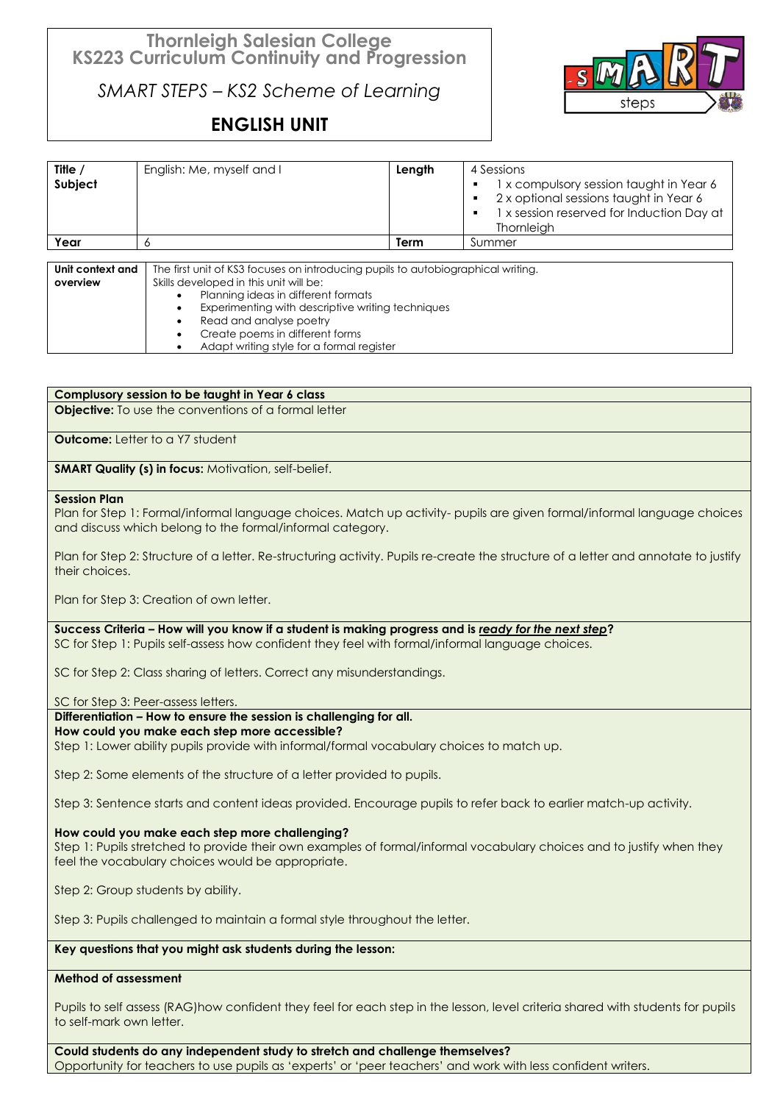# **Thornleigh Salesian College KS223 Curriculum Continuity and Progression**

*SMART STEPS – KS2 Scheme of Learning*

# **ENGLISH UNIT**



| Title $\prime$<br>Subject | English: Me, myself and I                                                          | Length | 4 Sessions<br>1 x compulsory session taught in Year 6<br>2 x optional sessions taught in Year 6<br>1 x session reserved for Induction Day at<br>Thornleigh |
|---------------------------|------------------------------------------------------------------------------------|--------|------------------------------------------------------------------------------------------------------------------------------------------------------------|
| Year                      |                                                                                    | Term   | Summer                                                                                                                                                     |
| المحمد استملحتهم المال    | The first unit of KSO foounded an introducing purish to quite biographical writing |        |                                                                                                                                                            |

| Unit context and | The first unit of KS3 focuses on introducing pupils to autobiographical writing. |  |
|------------------|----------------------------------------------------------------------------------|--|
| overview         | Skills developed in this unit will be:                                           |  |
|                  | Planning ideas in different formats                                              |  |
|                  | Experimenting with descriptive writing techniques                                |  |
|                  | Read and analyse poetry                                                          |  |
|                  | Create poems in different forms                                                  |  |
|                  | Adapt writing style for a formal register                                        |  |

# **Complusory session to be taught in Year 6 class**

**Objective:** To use the conventions of a formal letter

**Outcome:** Letter to a Y7 student

**SMART Quality (s) in focus: Motivation, self-belief.** 

#### **Session Plan**

Plan for Step 1: Formal/informal language choices. Match up activity- pupils are given formal/informal language choices and discuss which belong to the formal/informal category.

Plan for Step 2: Structure of a letter. Re-structuring activity. Pupils re-create the structure of a letter and annotate to justify their choices.

Plan for Step 3: Creation of own letter.

**Success Criteria – How will you know if a student is making progress and is** *ready for the next step***?** SC for Step 1: Pupils self-assess how confident they feel with formal/informal language choices.

SC for Step 2: Class sharing of letters. Correct any misunderstandings.

SC for Step 3: Peer-assess letters.

# **Differentiation – How to ensure the session is challenging for all.**

**How could you make each step more accessible?**

Step 1: Lower ability pupils provide with informal/formal vocabulary choices to match up.

Step 2: Some elements of the structure of a letter provided to pupils.

Step 3: Sentence starts and content ideas provided. Encourage pupils to refer back to earlier match-up activity.

# **How could you make each step more challenging?**

Step 1: Pupils stretched to provide their own examples of formal/informal vocabulary choices and to justify when they feel the vocabulary choices would be appropriate.

Step 2: Group students by ability.

Step 3: Pupils challenged to maintain a formal style throughout the letter.

# **Key questions that you might ask students during the lesson:**

# **Method of assessment**

Pupils to self assess (RAG)how confident they feel for each step in the lesson, level criteria shared with students for pupils to self-mark own letter.

**Could students do any independent study to stretch and challenge themselves?** Opportunity for teachers to use pupils as 'experts' or 'peer teachers' and work with less confident writers.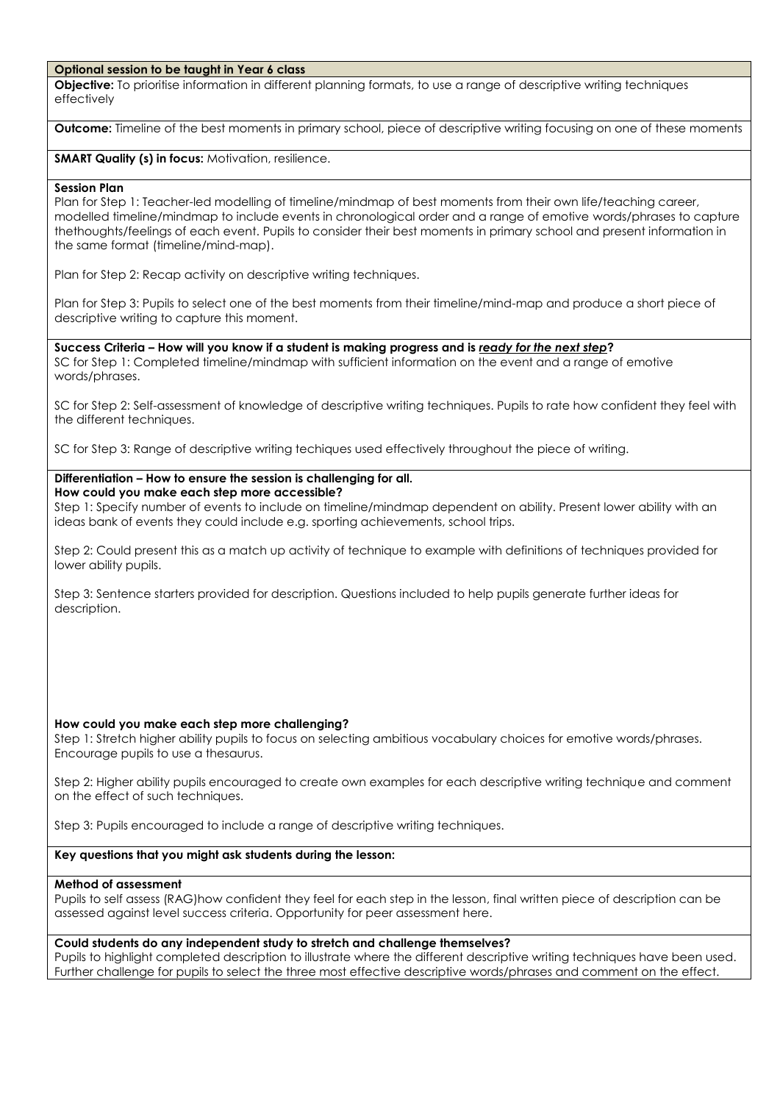#### **Optional session to be taught in Year 6 class**

**Objective:** To prioritise information in different planning formats, to use a range of descriptive writing techniques effectively

**Outcome:** Timeline of the best moments in primary school, piece of descriptive writing focusing on one of these moments

**SMART Quality (s) in focus:** Motivation, resilience.

#### **Session Plan**

Plan for Step 1: Teacher-led modelling of timeline/mindmap of best moments from their own life/teaching career, modelled timeline/mindmap to include events in chronological order and a range of emotive words/phrases to capture thethoughts/feelings of each event. Pupils to consider their best moments in primary school and present information in the same format (timeline/mind-map).

Plan for Step 2: Recap activity on descriptive writing techniques.

Plan for Step 3: Pupils to select one of the best moments from their timeline/mind-map and produce a short piece of descriptive writing to capture this moment.

**Success Criteria – How will you know if a student is making progress and is** *ready for the next step***?** SC for Step 1: Completed timeline/mindmap with sufficient information on the event and a range of emotive words/phrases.

SC for Step 2: Self-assessment of knowledge of descriptive writing techniques. Pupils to rate how confident they feel with the different techniques.

SC for Step 3: Range of descriptive writing techiques used effectively throughout the piece of writing.

#### **Differentiation – How to ensure the session is challenging for all. How could you make each step more accessible?**

Step 1: Specify number of events to include on timeline/mindmap dependent on ability. Present lower ability with an ideas bank of events they could include e.g. sporting achievements, school trips.

Step 2: Could present this as a match up activity of technique to example with definitions of techniques provided for lower ability pupils.

Step 3: Sentence starters provided for description. Questions included to help pupils generate further ideas for description.

# **How could you make each step more challenging?**

Step 1: Stretch higher ability pupils to focus on selecting ambitious vocabulary choices for emotive words/phrases. Encourage pupils to use a thesaurus.

Step 2: Higher ability pupils encouraged to create own examples for each descriptive writing technique and comment on the effect of such techniques.

Step 3: Pupils encouraged to include a range of descriptive writing techniques.

# **Key questions that you might ask students during the lesson:**

#### **Method of assessment**

Pupils to self assess (RAG)how confident they feel for each step in the lesson, final written piece of description can be assessed against level success criteria. Opportunity for peer assessment here.

# **Could students do any independent study to stretch and challenge themselves?**

Pupils to highlight completed description to illustrate where the different descriptive writing techniques have been used. Further challenge for pupils to select the three most effective descriptive words/phrases and comment on the effect.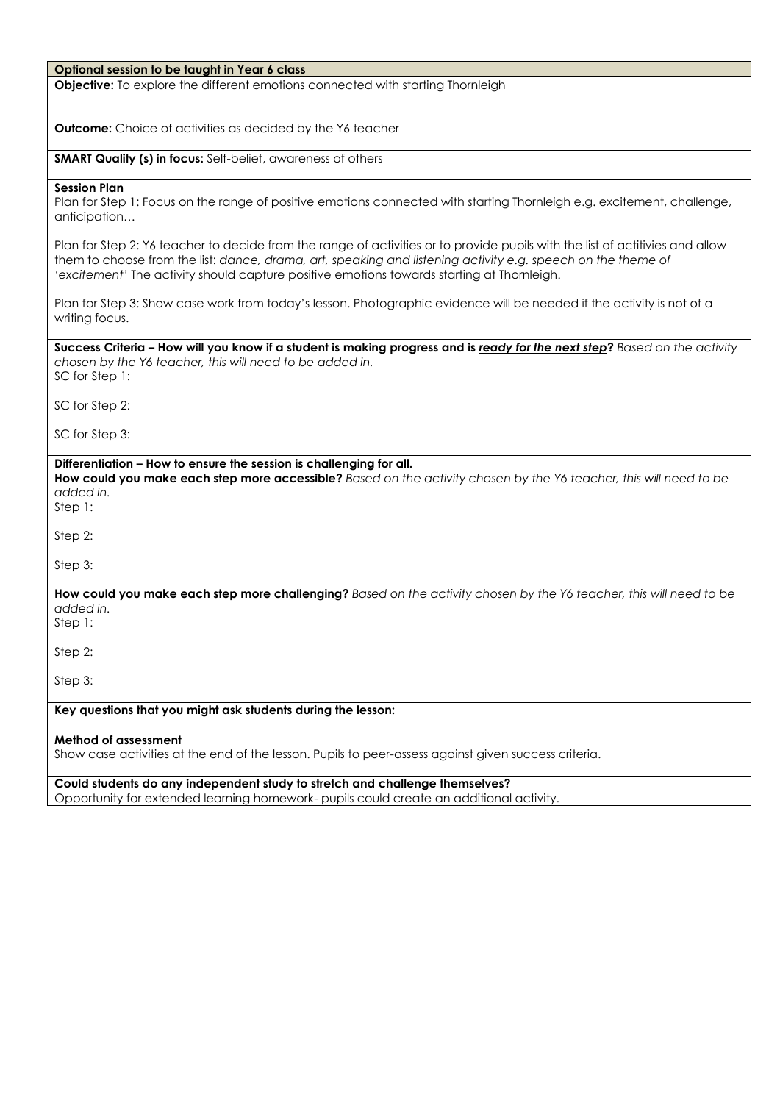#### **Optional session to be taught in Year 6 class**

**Objective:** To explore the different emotions connected with starting Thornleigh

**Outcome:** Choice of activities as decided by the Y6 teacher

**SMART Quality (s) in focus:** Self-belief, awareness of others

#### **Session Plan**

Plan for Step 1: Focus on the range of positive emotions connected with starting Thornleigh e.g. excitement, challenge, anticipation…

Plan for Step 2: Y6 teacher to decide from the range of activities or to provide pupils with the list of actitivies and allow them to choose from the list: *dance, drama, art, speaking and listening activity e.g. speech on the theme of 'excitement'* The activity should capture positive emotions towards starting at Thornleigh.

Plan for Step 3: Show case work from today's lesson. Photographic evidence will be needed if the activity is not of a writing focus.

**Success Criteria – How will you know if a student is making progress and is** *ready for the next step***?** *Based on the activity chosen by the Y6 teacher, this will need to be added in.* SC for Step 1:

SC for Step 2:

SC for Step 3:

### **Differentiation – How to ensure the session is challenging for all.**

**How could you make each step more accessible?** *Based on the activity chosen by the Y6 teacher, this will need to be added in.*

Step 1:

Step 2:

Step 3:

**How could you make each step more challenging?** *Based on the activity chosen by the Y6 teacher, this will need to be added in.*

Step 1:

Step 2:

Step 3:

# **Key questions that you might ask students during the lesson:**

#### **Method of assessment**

Show case activities at the end of the lesson. Pupils to peer-assess against given success criteria.

**Could students do any independent study to stretch and challenge themselves?** Opportunity for extended learning homework- pupils could create an additional activity.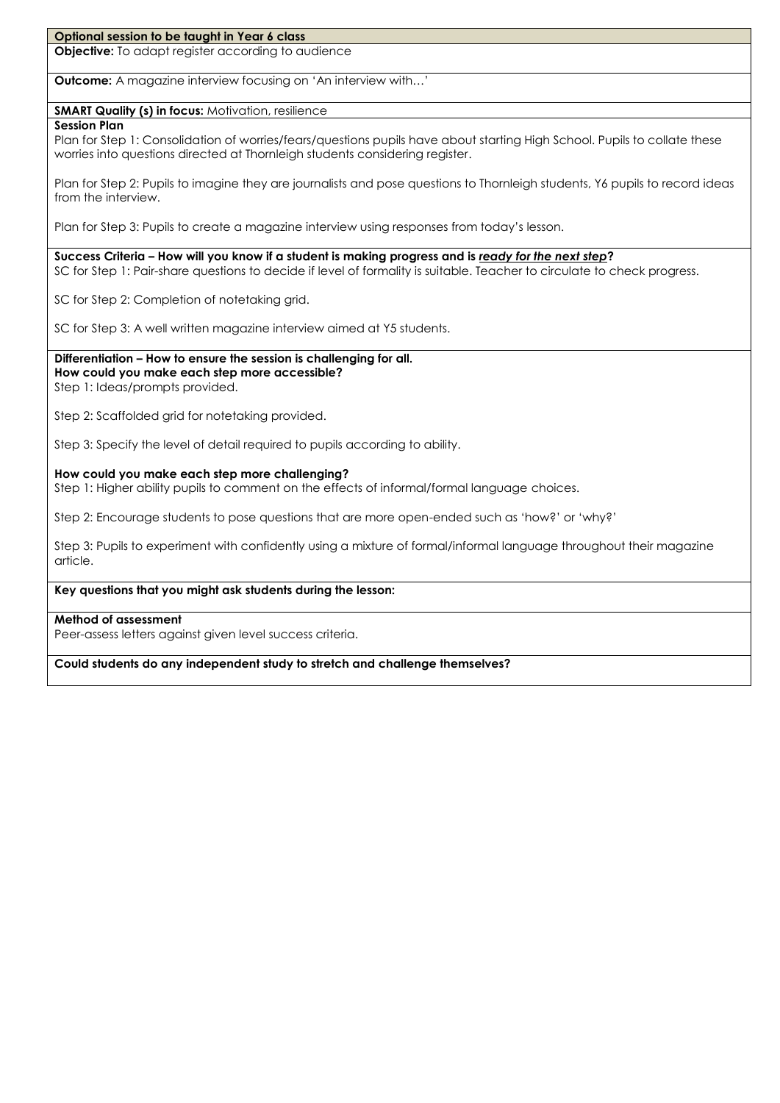### **Optional session to be taught in Year 6 class**

**Objective:** To adapt register according to audience

**Outcome:** A magazine interview focusing on 'An interview with…'

#### **SMART Quality (s) in focus:** Motivation, resilience

#### **Session Plan**

Plan for Step 1: Consolidation of worries/fears/questions pupils have about starting High School. Pupils to collate these worries into questions directed at Thornleigh students considering register.

Plan for Step 2: Pupils to imagine they are journalists and pose questions to Thornleigh students, Y6 pupils to record ideas from the interview.

Plan for Step 3: Pupils to create a magazine interview using responses from today's lesson.

**Success Criteria – How will you know if a student is making progress and is** *ready for the next step***?**

SC for Step 1: Pair-share questions to decide if level of formality is suitable. Teacher to circulate to check progress.

SC for Step 2: Completion of notetaking grid.

SC for Step 3: A well written magazine interview aimed at Y5 students.

# **Differentiation – How to ensure the session is challenging for all. How could you make each step more accessible?**

Step 1: Ideas/prompts provided.

Step 2: Scaffolded grid for notetaking provided.

Step 3: Specify the level of detail required to pupils according to ability.

#### **How could you make each step more challenging?**

Step 1: Higher ability pupils to comment on the effects of informal/formal language choices.

Step 2: Encourage students to pose questions that are more open-ended such as 'how?' or 'why?'

Step 3: Pupils to experiment with confidently using a mixture of formal/informal language throughout their magazine article.

# **Key questions that you might ask students during the lesson:**

#### **Method of assessment**

Peer-assess letters against given level success criteria.

**Could students do any independent study to stretch and challenge themselves?**